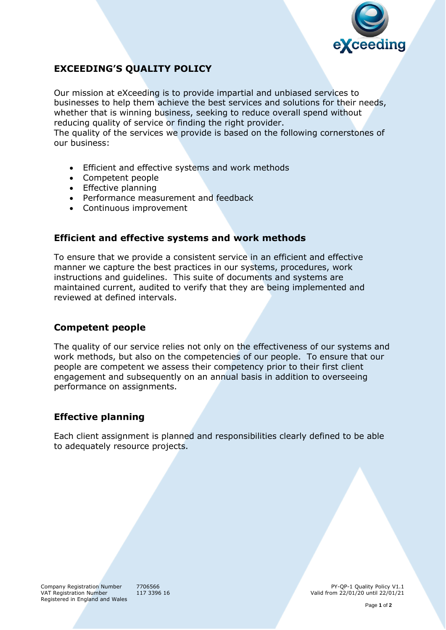

# **EXCEEDING'S QUALITY POLICY**

Our mission at eXceeding is to provide impartial and unbiased services to businesses to help them achieve the best services and solutions for their needs, whether that is winning business, seeking to reduce overall spend without reducing quality of service or finding the right provider.

The quality of the services we provide is based on the following cornerstones of our business:

- Efficient and effective systems and work methods
- Competent people
- Effective planning
- Performance measurement and feedback
- Continuous improvement

#### **Efficient and effective systems and work methods**

To ensure that we provide a consistent service in an efficient and effective manner we capture the best practices in our systems, procedures, work instructions and guidelines. This suite of documents and systems are maintained current, audited to verify that they are being implemented and reviewed at defined intervals.

### **Competent people**

The quality of our service relies not only on the effectiveness of our systems and work methods, but also on the competencies of our people. To ensure that our people are competent we assess their competency prior to their first client engagement and subsequently on an annual basis in addition to overseeing performance on assignments.

### **Effective planning**

Each client assignment is planned and responsibilities clearly defined to be able to adequately resource projects.

Company Registration Number 7706566 PY-QP-1 Quality Policy V1.1<br>
VAT Registration Number 117 3396 16 PY-QP-1 Quality Policy V1.1 Valid from  $22/01/20$  until  $22/01/21$